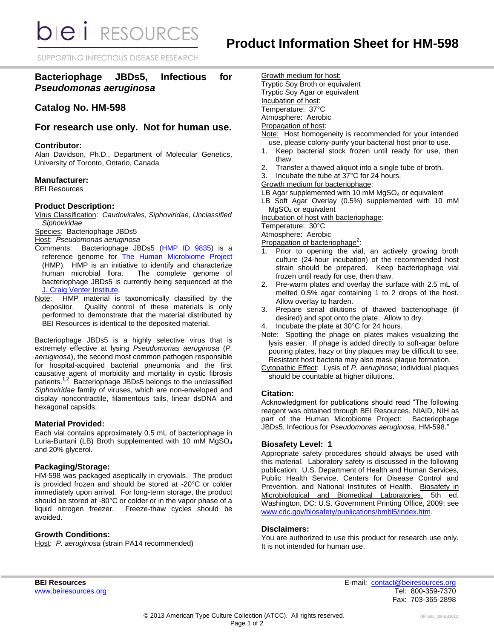**bieli** RESOURCES

SUPPORTING INFECTIOUS DISEASE RESEARCH

## **Bacteriophage JBDs5, Infectious for**  *Pseudomonas aeruginosa*

## **Catalog No. HM-598**

### **For research use only. Not for human use.**

#### **Contributor:**

Alan Davidson, Ph.D., Department of Molecular Genetics, University of Toronto, Ontario, Canada

#### **Manufacturer:**

BEI Resources

#### **Product Description:**

Virus Classification: *Caudovirales*, *Siphoviridae*, *Unclassified Siphoviridae*

Species: Bacteriophage JBDs5

- Host: *Pseudomonas aeruginosa*
- Comments: Bacteriophage JBDs5 [\(HMP ID 9835\)](http://www.hmpdacc-resources.org/cgi-bin/hmp_catalog/main.cgi?section=HmpSummary&page=displayHmpProject&hmp_id=9835) is a reference genome for [The Human Microbiome Project](http://nihroadmap.nih.gov/hmp/) (HMP). HMP is an initiative to identify and characterize human microbial flora. The complete genome of bacteriophage JBDs5 is currently being sequenced at the [J. Craig Venter Institute.](http://www.jcvi.org/)
- Note: HMP material is taxonomically classified by the depositor. Quality control of these materials is only performed to demonstrate that the material distributed by BEI Resources is identical to the deposited material.

Bacteriophage JBDs5 is a highly selective virus that is extremely effective at lysing *Pseudomonas aeruginosa* (*P. aeruginosa*), the second most common pathogen responsible for hospital-acquired bacterial pneumonia and the first causative agent of morbidity and mortality in cystic fibrosis patients.<sup>1,2</sup> Bacteriophage JBDs5 belongs to the unclassified *Siphoviridae* family of viruses, which are non-enveloped and display noncontractile, filamentous tails, linear dsDNA and hexagonal capsids.

#### **Material Provided:**

Each vial contains approximately 0.5 mL of bacteriophage in Luria-Burtani (LB) Broth supplemented with 10 mM MgSO<sup>4</sup> and 20% glycerol.

#### **Packaging/Storage:**

HM-598 was packaged aseptically in cryovials. The product is provided frozen and should be stored at -20°C or colder immediately upon arrival. For long-term storage, the product should be stored at -80°C or colder or in the vapor phase of a liquid nitrogen freezer. Freeze-thaw cycles should be avoided.

#### **Growth Conditions:**

Host: *P. aeruginosa* (strain PA14 recommended)

Growth medium for host: Tryptic Soy Broth or equivalent Tryptic Soy Agar or equivalent Incubation of host: Temperature: 37°C

Atmosphere: Aerobic

# Propagation of host:

- Note: Host homogeneity is recommended for your intended use, please colony-purify your bacterial host prior to use.
- 1. Keep bacterial stock frozen until ready for use, then thaw.
- 2. Transfer a thawed aliquot into a single tube of broth.
- 3. Incubate the tube at 37°C for 24 hours.
- Growth medium for bacteriophage:
- LB Agar supplemented with 10 mM  $MgSO<sub>4</sub>$  or equivalent
- LB Soft Agar Overlay (0.5%) supplemented with 10 mM MgSO<sup>4</sup> or equivalent

Incubation of host with bacteriophage:

Temperature: 30°C

Atmosphere: Aerobic

- Propagation of bacteriophage<sup>2</sup>:
- 1. Prior to opening the vial, an actively growing broth culture (24-hour incubation) of the recommended host strain should be prepared. Keep bacteriophage vial frozen until ready for use, then thaw.
- 2. Pre-warm plates and overlay the surface with 2.5 mL of melted 0.5% agar containing 1 to 2 drops of the host. Allow overlay to harden.
- 3. Prepare serial dilutions of thawed bacteriophage (if desired) and spot onto the plate. Allow to dry.
- Incubate the plate at 30°C for 24 hours.
- Note: Spotting the phage on plates makes visualizing the lysis easier. If phage is added directly to soft-agar before pouring plates, hazy or tiny plaques may be difficult to see. Resistant host bacteria may also mask plaque formation.
- Cytopathic Effect: Lysis of *P. aeruginosa*; individual plaques should be countable at higher dilutions.

#### **Citation:**

Acknowledgment for publications should read "The following reagent was obtained through BEI Resources, NIAID, NIH as part of the Human Microbiome Project: Bacteriophage JBDs5, Infectious for *Pseudomonas aeruginosa*, HM-598."

#### **Biosafety Level: 1**

Appropriate safety procedures should always be used with this material. Laboratory safety is discussed in the following publication: U.S. Department of Health and Human Services, Public Health Service, Centers for Disease Control and Prevention, and National Institutes of Health. Biosafety in Microbiological and Biomedical Laboratories. 5th ed. Washington, DC: U.S. Government Printing Office, 2009; see [www.cdc.gov/biosafety/publications/bmbl5/index.htm.](http://www.cdc.gov/biosafety/publications/bmbl5/index.htm)

#### **Disclaimers:**

You are authorized to use this product for research use only. It is not intended for human use.

**BEI Resources** E-mail: [contact@beiresources.org](mailto:contact@beiresources.org) Fax: 703-365-2898